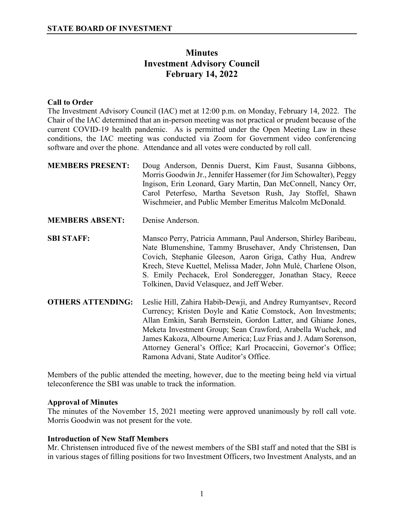# **Minutes Investment Advisory Council February 14, 2022**

# **Call to Order**

The Investment Advisory Council (IAC) met at 12:00 p.m. on Monday, February 14, 2022. The Chair of the IAC determined that an in-person meeting was not practical or prudent because of the current COVID-19 health pandemic. As is permitted under the Open Meeting Law in these conditions, the IAC meeting was conducted via Zoom for Government video conferencing software and over the phone. Attendance and all votes were conducted by roll call.

| <b>MEMBERS PRESENT:</b>  | Doug Anderson, Dennis Duerst, Kim Faust, Susanna Gibbons,<br>Morris Goodwin Jr., Jennifer Hassemer (for Jim Schowalter), Peggy<br>Ingison, Erin Leonard, Gary Martin, Dan McConnell, Nancy Orr,<br>Carol Peterfeso, Martha Sevetson Rush, Jay Stoffel, Shawn<br>Wischmeier, and Public Member Emeritus Malcolm McDonald.                                                                                                                        |
|--------------------------|-------------------------------------------------------------------------------------------------------------------------------------------------------------------------------------------------------------------------------------------------------------------------------------------------------------------------------------------------------------------------------------------------------------------------------------------------|
| <b>MEMBERS ABSENT:</b>   | Denise Anderson.                                                                                                                                                                                                                                                                                                                                                                                                                                |
| <b>SBI STAFF:</b>        | Mansco Perry, Patricia Ammann, Paul Anderson, Shirley Baribeau,<br>Nate Blumenshine, Tammy Brusehaver, Andy Christensen, Dan<br>Covich, Stephanie Gleeson, Aaron Griga, Cathy Hua, Andrew<br>Krech, Steve Kuettel, Melissa Mader, John Mulé, Charlene Olson,<br>S. Emily Pechacek, Erol Sonderegger, Jonathan Stacy, Reece<br>Tolkinen, David Velasquez, and Jeff Weber.                                                                        |
| <b>OTHERS ATTENDING:</b> | Leslie Hill, Zahira Habib-Dewji, and Andrey Rumyantsev, Record<br>Currency; Kristen Doyle and Katie Comstock, Aon Investments;<br>Allan Emkin, Sarah Bernstein, Gordon Latter, and Ghiane Jones,<br>Meketa Investment Group; Sean Crawford, Arabella Wuchek, and<br>James Kakoza, Albourne America; Luz Frias and J. Adam Sorenson,<br>Attorney General's Office; Karl Procaccini, Governor's Office;<br>Ramona Advani, State Auditor's Office. |

Members of the public attended the meeting, however, due to the meeting being held via virtual teleconference the SBI was unable to track the information.

#### **Approval of Minutes**

The minutes of the November 15, 2021 meeting were approved unanimously by roll call vote. Morris Goodwin was not present for the vote.

## **Introduction of New Staff Members**

Mr. Christensen introduced five of the newest members of the SBI staff and noted that the SBI is in various stages of filling positions for two Investment Officers, two Investment Analysts, and an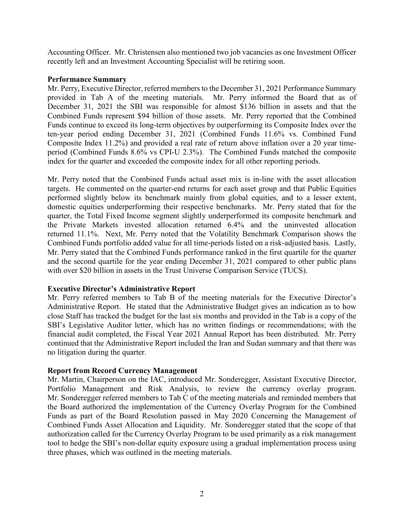Accounting Officer. Mr. Christensen also mentioned two job vacancies as one Investment Officer recently left and an Investment Accounting Specialist will be retiring soon.

## **Performance Summary**

Mr. Perry, Executive Director, referred members to the December 31, 2021 Performance Summary provided in Tab A of the meeting materials. Mr. Perry informed the Board that as of December 31, 2021 the SBI was responsible for almost \$136 billion in assets and that the Combined Funds represent \$94 billion of those assets. Mr. Perry reported that the Combined Funds continue to exceed its long-term objectives by outperforming its Composite Index over the ten-year period ending December 31, 2021 (Combined Funds 11.6% vs. Combined Fund Composite Index 11.2%) and provided a real rate of return above inflation over a 20 year timeperiod (Combined Funds 8.6% vs CPI-U 2.3%). The Combined Funds matched the composite index for the quarter and exceeded the composite index for all other reporting periods.

Mr. Perry noted that the Combined Funds actual asset mix is in-line with the asset allocation targets. He commented on the quarter-end returns for each asset group and that Public Equities performed slightly below its benchmark mainly from global equities, and to a lesser extent, domestic equities underperforming their respective benchmarks. Mr. Perry stated that for the quarter, the Total Fixed Income segment slightly underperformed its composite benchmark and the Private Markets invested allocation returned 6.4% and the uninvested allocation returned 11.1%. Next, Mr. Perry noted that the Volatility Benchmark Comparison shows the Combined Funds portfolio added value for all time-periods listed on a risk-adjusted basis. Lastly, Mr. Perry stated that the Combined Funds performance ranked in the first quartile for the quarter and the second quartile for the year ending December 31, 2021 compared to other public plans with over \$20 billion in assets in the Trust Universe Comparison Service (TUCS).

# **Executive Director's Administrative Report**

Mr. Perry referred members to Tab B of the meeting materials for the Executive Director's Administrative Report. He stated that the Administrative Budget gives an indication as to how close Staff has tracked the budget for the last six months and provided in the Tab is a copy of the SBI's Legislative Auditor letter, which has no written findings or recommendations; with the financial audit completed, the Fiscal Year 2021 Annual Report has been distributed. Mr. Perry continued that the Administrative Report included the Iran and Sudan summary and that there was no litigation during the quarter.

## **Report from Record Currency Management**

Mr. Martin, Chairperson on the IAC, introduced Mr. Sonderegger, Assistant Executive Director, Portfolio Management and Risk Analysis, to review the currency overlay program. Mr. Sonderegger referred members to Tab C of the meeting materials and reminded members that the Board authorized the implementation of the Currency Overlay Program for the Combined Funds as part of the Board Resolution passed in May 2020 Concerning the Management of Combined Funds Asset Allocation and Liquidity. Mr. Sonderegger stated that the scope of that authorization called for the Currency Overlay Program to be used primarily as a risk management tool to hedge the SBI's non-dollar equity exposure using a gradual implementation process using three phases, which was outlined in the meeting materials.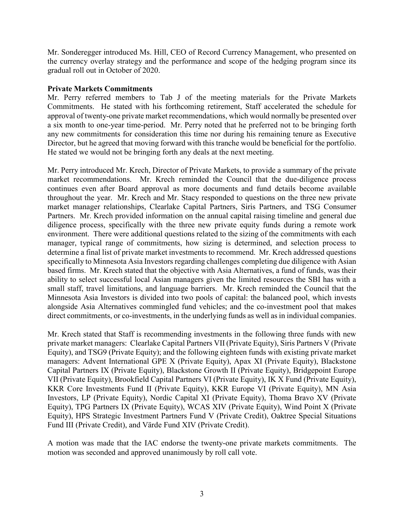Mr. Sonderegger introduced Ms. Hill, CEO of Record Currency Management, who presented on the currency overlay strategy and the performance and scope of the hedging program since its gradual roll out in October of 2020.

## **Private Markets Commitments**

Mr. Perry referred members to Tab J of the meeting materials for the Private Markets Commitments. He stated with his forthcoming retirement, Staff accelerated the schedule for approval of twenty-one private market recommendations, which would normally be presented over a six month to one-year time-period. Mr. Perry noted that he preferred not to be bringing forth any new commitments for consideration this time nor during his remaining tenure as Executive Director, but he agreed that moving forward with this tranche would be beneficial for the portfolio. He stated we would not be bringing forth any deals at the next meeting.

Mr. Perry introduced Mr. Krech, Director of Private Markets, to provide a summary of the private market recommendations. Mr. Krech reminded the Council that the due-diligence process continues even after Board approval as more documents and fund details become available throughout the year. Mr. Krech and Mr. Stacy responded to questions on the three new private market manager relationships, Clearlake Capital Partners, Siris Partners, and TSG Consumer Partners. Mr. Krech provided information on the annual capital raising timeline and general due diligence process, specifically with the three new private equity funds during a remote work environment. There were additional questions related to the sizing of the commitments with each manager, typical range of commitments, how sizing is determined, and selection process to determine a final list of private market investments to recommend. Mr. Krech addressed questions specifically to Minnesota Asia Investors regarding challenges completing due diligence with Asian based firms. Mr. Krech stated that the objective with Asia Alternatives, a fund of funds, was their ability to select successful local Asian managers given the limited resources the SBI has with a small staff, travel limitations, and language barriers. Mr. Krech reminded the Council that the Minnesota Asia Investors is divided into two pools of capital: the balanced pool, which invests alongside Asia Alternatives commingled fund vehicles; and the co-investment pool that makes direct commitments, or co-investments, in the underlying funds as well as in individual companies.

Mr. Krech stated that Staff is recommending investments in the following three funds with new private market managers: Clearlake Capital Partners VII (Private Equity), Siris Partners V (Private Equity), and TSG9 (Private Equity); and the following eighteen funds with existing private market managers: Advent International GPE X (Private Equity), Apax XI (Private Equity), Blackstone Capital Partners IX (Private Equity), Blackstone Growth II (Private Equity), Bridgepoint Europe VII (Private Equity), Brookfield Capital Partners VI (Private Equity), IK X Fund (Private Equity), KKR Core Investments Fund II (Private Equity), KKR Europe VI (Private Equity), MN Asia Investors, LP (Private Equity), Nordic Capital XI (Private Equity), Thoma Bravo XV (Private Equity), TPG Partners IX (Private Equity), WCAS XIV (Private Equity), Wind Point X (Private Equity), HPS Strategic Investment Partners Fund V (Private Credit), Oaktree Special Situations Fund III (Private Credit), and Värde Fund XIV (Private Credit).

A motion was made that the IAC endorse the twenty-one private markets commitments. The motion was seconded and approved unanimously by roll call vote.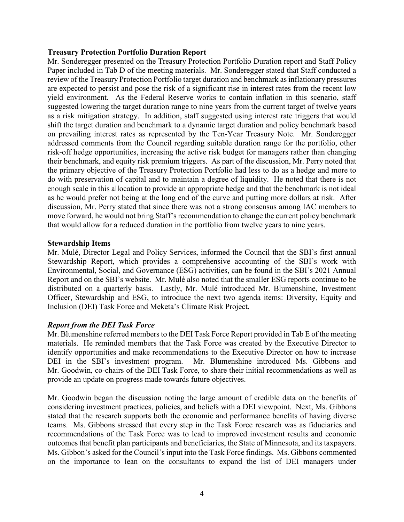#### **Treasury Protection Portfolio Duration Report**

Mr. Sonderegger presented on the Treasury Protection Portfolio Duration report and Staff Policy Paper included in Tab D of the meeting materials. Mr. Sonderegger stated that Staff conducted a review of the Treasury Protection Portfolio target duration and benchmark as inflationary pressures are expected to persist and pose the risk of a significant rise in interest rates from the recent low yield environment. As the Federal Reserve works to contain inflation in this scenario, staff suggested lowering the target duration range to nine years from the current target of twelve years as a risk mitigation strategy. In addition, staff suggested using interest rate triggers that would shift the target duration and benchmark to a dynamic target duration and policy benchmark based on prevailing interest rates as represented by the Ten-Year Treasury Note. Mr. Sonderegger addressed comments from the Council regarding suitable duration range for the portfolio, other risk-off hedge opportunities, increasing the active risk budget for managers rather than changing their benchmark, and equity risk premium triggers. As part of the discussion, Mr. Perry noted that the primary objective of the Treasury Protection Portfolio had less to do as a hedge and more to do with preservation of capital and to maintain a degree of liquidity. He noted that there is not enough scale in this allocation to provide an appropriate hedge and that the benchmark is not ideal as he would prefer not being at the long end of the curve and putting more dollars at risk. After discussion, Mr. Perry stated that since there was not a strong consensus among IAC members to move forward, he would not bring Staff's recommendation to change the current policy benchmark that would allow for a reduced duration in the portfolio from twelve years to nine years.

#### **Stewardship Items**

Mr. Mulé, Director Legal and Policy Services, informed the Council that the SBI's first annual Stewardship Report, which provides a comprehensive accounting of the SBI's work with Environmental, Social, and Governance (ESG) activities, can be found in the SBI's 2021 Annual Report and on the SBI's website. Mr. Mulé also noted that the smaller ESG reports continue to be distributed on a quarterly basis. Lastly, Mr. Mulé introduced Mr. Blumenshine, Investment Officer, Stewardship and ESG, to introduce the next two agenda items: Diversity, Equity and Inclusion (DEI) Task Force and Meketa's Climate Risk Project.

## *Report from the DEI Task Force*

Mr. Blumenshine referred members to the DEI Task Force Report provided in Tab E of the meeting materials. He reminded members that the Task Force was created by the Executive Director to identify opportunities and make recommendations to the Executive Director on how to increase DEI in the SBI's investment program. Mr. Blumenshine introduced Ms. Gibbons and Mr. Goodwin, co-chairs of the DEI Task Force, to share their initial recommendations as well as provide an update on progress made towards future objectives.

Mr. Goodwin began the discussion noting the large amount of credible data on the benefits of considering investment practices, policies, and beliefs with a DEI viewpoint. Next, Ms. Gibbons stated that the research supports both the economic and performance benefits of having diverse teams. Ms. Gibbons stressed that every step in the Task Force research was as fiduciaries and recommendations of the Task Force was to lead to improved investment results and economic outcomes that benefit plan participants and beneficiaries, the State of Minnesota, and its taxpayers. Ms. Gibbon's asked for the Council's input into the Task Force findings. Ms. Gibbons commented on the importance to lean on the consultants to expand the list of DEI managers under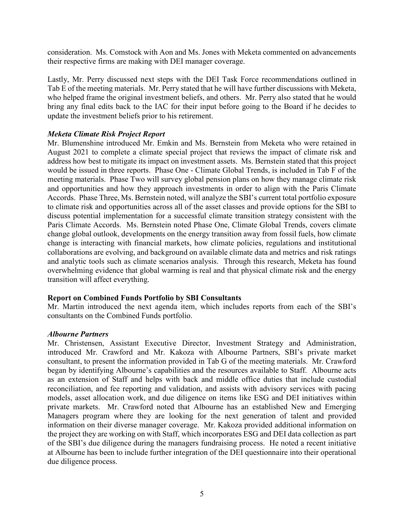consideration. Ms. Comstock with Aon and Ms. Jones with Meketa commented on advancements their respective firms are making with DEI manager coverage.

Lastly, Mr. Perry discussed next steps with the DEI Task Force recommendations outlined in Tab E of the meeting materials. Mr. Perry stated that he will have further discussions with Meketa, who helped frame the original investment beliefs, and others. Mr. Perry also stated that he would bring any final edits back to the IAC for their input before going to the Board if he decides to update the investment beliefs prior to his retirement.

## *Meketa Climate Risk Project Report*

Mr. Blumenshine introduced Mr. Emkin and Ms. Bernstein from Meketa who were retained in August 2021 to complete a climate special project that reviews the impact of climate risk and address how best to mitigate its impact on investment assets. Ms. Bernstein stated that this project would be issued in three reports. Phase One - Climate Global Trends, is included in Tab F of the meeting materials. Phase Two will survey global pension plans on how they manage climate risk and opportunities and how they approach investments in order to align with the Paris Climate Accords. Phase Three, Ms. Bernstein noted, will analyze the SBI's current total portfolio exposure to climate risk and opportunities across all of the asset classes and provide options for the SBI to discuss potential implementation for a successful climate transition strategy consistent with the Paris Climate Accords. Ms. Bernstein noted Phase One, Climate Global Trends, covers climate change global outlook, developments on the energy transition away from fossil fuels, how climate change is interacting with financial markets, how climate policies, regulations and institutional collaborations are evolving, and background on available climate data and metrics and risk ratings and analytic tools such as climate scenarios analysis. Through this research, Meketa has found overwhelming evidence that global warming is real and that physical climate risk and the energy transition will affect everything.

## **Report on Combined Funds Portfolio by SBI Consultants**

Mr. Martin introduced the next agenda item, which includes reports from each of the SBI's consultants on the Combined Funds portfolio.

## *Albourne Partners*

Mr. Christensen, Assistant Executive Director, Investment Strategy and Administration, introduced Mr. Crawford and Mr. Kakoza with Albourne Partners, SBI's private market consultant, to present the information provided in Tab G of the meeting materials. Mr. Crawford began by identifying Albourne's capabilities and the resources available to Staff. Albourne acts as an extension of Staff and helps with back and middle office duties that include custodial reconciliation, and fee reporting and validation, and assists with advisory services with pacing models, asset allocation work, and due diligence on items like ESG and DEI initiatives within private markets. Mr. Crawford noted that Albourne has an established New and Emerging Managers program where they are looking for the next generation of talent and provided information on their diverse manager coverage. Mr. Kakoza provided additional information on the project they are working on with Staff, which incorporates ESG and DEI data collection as part of the SBI's due diligence during the managers fundraising process. He noted a recent initiative at Albourne has been to include further integration of the DEI questionnaire into their operational due diligence process.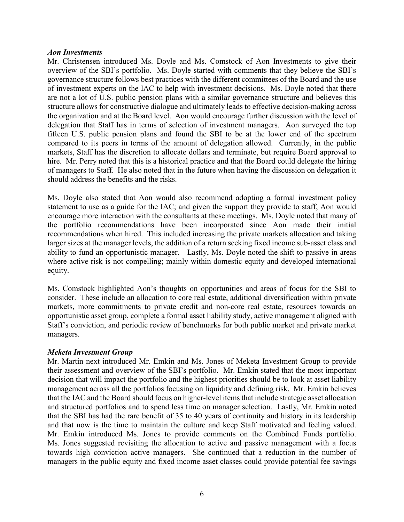#### *Aon Investments*

Mr. Christensen introduced Ms. Doyle and Ms. Comstock of Aon Investments to give their overview of the SBI's portfolio. Ms. Doyle started with comments that they believe the SBI's governance structure follows best practices with the different committees of the Board and the use of investment experts on the IAC to help with investment decisions. Ms. Doyle noted that there are not a lot of U.S. public pension plans with a similar governance structure and believes this structure allows for constructive dialogue and ultimately leads to effective decision-making across the organization and at the Board level. Aon would encourage further discussion with the level of delegation that Staff has in terms of selection of investment managers. Aon surveyed the top fifteen U.S. public pension plans and found the SBI to be at the lower end of the spectrum compared to its peers in terms of the amount of delegation allowed. Currently, in the public markets, Staff has the discretion to allocate dollars and terminate, but require Board approval to hire. Mr. Perry noted that this is a historical practice and that the Board could delegate the hiring of managers to Staff. He also noted that in the future when having the discussion on delegation it should address the benefits and the risks.

Ms. Doyle also stated that Aon would also recommend adopting a formal investment policy statement to use as a guide for the IAC; and given the support they provide to staff, Aon would encourage more interaction with the consultants at these meetings. Ms. Doyle noted that many of the portfolio recommendations have been incorporated since Aon made their initial recommendations when hired. This included increasing the private markets allocation and taking larger sizes at the manager levels, the addition of a return seeking fixed income sub-asset class and ability to fund an opportunistic manager. Lastly, Ms. Doyle noted the shift to passive in areas where active risk is not compelling; mainly within domestic equity and developed international equity.

Ms. Comstock highlighted Aon's thoughts on opportunities and areas of focus for the SBI to consider. These include an allocation to core real estate, additional diversification within private markets, more commitments to private credit and non-core real estate, resources towards an opportunistic asset group, complete a formal asset liability study, active management aligned with Staff's conviction, and periodic review of benchmarks for both public market and private market managers.

## *Meketa Investment Group*

Mr. Martin next introduced Mr. Emkin and Ms. Jones of Meketa Investment Group to provide their assessment and overview of the SBI's portfolio. Mr. Emkin stated that the most important decision that will impact the portfolio and the highest priorities should be to look at asset liability management across all the portfolios focusing on liquidity and defining risk. Mr. Emkin believes that the IAC and the Board should focus on higher-level items that include strategic asset allocation and structured portfolios and to spend less time on manager selection. Lastly, Mr. Emkin noted that the SBI has had the rare benefit of 35 to 40 years of continuity and history in its leadership and that now is the time to maintain the culture and keep Staff motivated and feeling valued. Mr. Emkin introduced Ms. Jones to provide comments on the Combined Funds portfolio. Ms. Jones suggested revisiting the allocation to active and passive management with a focus towards high conviction active managers. She continued that a reduction in the number of managers in the public equity and fixed income asset classes could provide potential fee savings